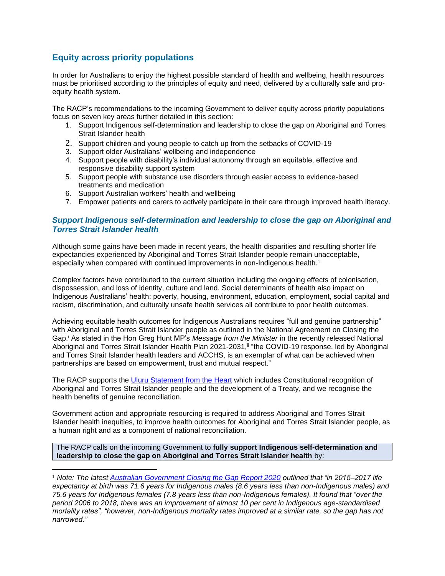# **Equity across priority populations**

In order for Australians to enjoy the highest possible standard of health and wellbeing, health resources must be prioritised according to the principles of equity and need, delivered by a culturally safe and proequity health system.

The RACP's recommendations to the incoming Government to deliver equity across priority populations focus on seven key areas further detailed in this section:

- 1. Support Indigenous self-determination and leadership to close the gap on Aboriginal and Torres Strait Islander health
- 2. Support children and young people to catch up from the setbacks of COVID-19
- 3. Support older Australians' wellbeing and independence
- 4. Support people with disability's individual autonomy through an equitable, effective and responsive disability support system
- 5. Support people with substance use disorders through easier access to evidence-based treatments and medication
- 6. Support Australian workers' health and wellbeing
- 7. Empower patients and carers to actively participate in their care through improved health literacy.

### *Support Indigenous self-determination and leadership to close the gap on Aboriginal and Torres Strait Islander health*

Although some gains have been made in recent years, the health disparities and resulting shorter life expectancies experienced by Aboriginal and Torres Strait Islander people remain unacceptable, especially when compared with continued improvements in non-Indigenous health.<sup>1</sup>

Complex factors have contributed to the current situation including the ongoing effects of colonisation, dispossession, and loss of identity, culture and land. Social determinants of health also impact on Indigenous Australians' health: poverty, housing, environment, education, employment, social capital and racism, discrimination, and culturally unsafe health services all contribute to poor health outcomes.

Achieving equitable health outcomes for Indigenous Australians requires "full and genuine partnership" with Aboriginal and Torres Strait Islander people as outlined in the National Agreement on Closing the Gap.<sup>i</sup> As stated in the Hon Greg Hunt MP's *Message from the Minister* in the recently released National Aboriginal and Torres Strait Islander Health Plan 2021-2031,<sup>ii</sup> "the COVID-19 response, led by Aboriginal and Torres Strait Islander health leaders and ACCHS, is an exemplar of what can be achieved when partnerships are based on empowerment, trust and mutual respect."

The RACP supports the [Uluru Statement from the Heart](https://ulurustatement.org/the-statement/) which includes Constitutional recognition of Aboriginal and Torres Strait Islander people and the development of a Treaty, and we recognise the health benefits of genuine reconciliation.

Government action and appropriate resourcing is required to address Aboriginal and Torres Strait Islander health inequities, to improve health outcomes for Aboriginal and Torres Strait Islander people, as a human right and as a component of national reconciliation.

The RACP calls on the incoming Government to **fully support Indigenous self-determination and leadership to close the gap on Aboriginal and Torres Strait Islander health** by:

<sup>1</sup> *Note: The latest [Australian Government Closing the Gap Report 2020](https://ctgreport.niaa.gov.au/sites/default/files/pdf/closing-the-gap-report-2020.pdf) outlined that "in 2015–2017 life expectancy at birth was 71.6 years for Indigenous males (8.6 years less than non-Indigenous males) and 75.6 years for Indigenous females (7.8 years less than non-Indigenous females). It found that "over the period 2006 to 2018, there was an improvement of almost 10 per cent in Indigenous age-standardised mortality rates", "however, non-Indigenous mortality rates improved at a similar rate, so the gap has not narrowed."*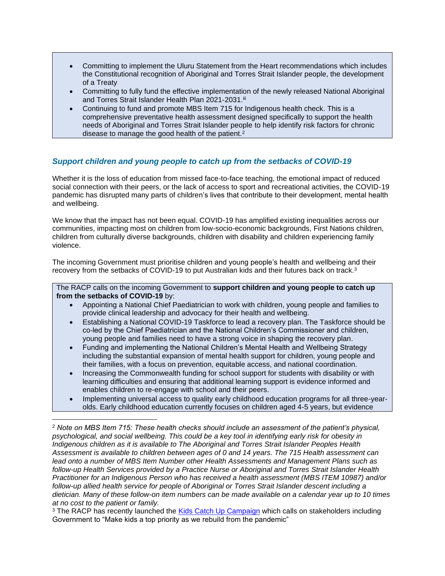- Committing to implement the Uluru Statement from the Heart recommendations which includes the Constitutional recognition of Aboriginal and Torres Strait Islander people, the development of a Treaty
- Committing to fully fund the effective implementation of the newly released National Aboriginal and Torres Strait Islander Health Plan 2021-2031.iii
- Continuing to fund and promote MBS Item 715 for Indigenous health check. This is a comprehensive preventative health assessment designed specifically to support the health needs of Aboriginal and Torres Strait Islander people to help identify risk factors for chronic disease to manage the good health of the patient.<sup>2</sup>

## *Support children and young people to catch up from the setbacks of COVID-19*

Whether it is the loss of education from missed face-to-face teaching, the emotional impact of reduced social connection with their peers, or the lack of access to sport and recreational activities, the COVID-19 pandemic has disrupted many parts of children's lives that contribute to their development, mental health and wellbeing.

We know that the impact has not been equal. COVID-19 has amplified existing inequalities across our communities, impacting most on children from low-socio-economic backgrounds, First Nations children, children from culturally diverse backgrounds, children with disability and children experiencing family violence.

The incoming Government must prioritise children and young people's health and wellbeing and their recovery from the setbacks of COVID-19 to put Australian kids and their futures back on track.<sup>3</sup>

The RACP calls on the incoming Government to **support children and young people to catch up from the setbacks of COVID-19** by:

- Appointing a National Chief Paediatrician to work with children, young people and families to provide clinical leadership and advocacy for their health and wellbeing.
- Establishing a National COVID-19 Taskforce to lead a recovery plan. The Taskforce should be co-led by the Chief Paediatrician and the National Children's Commissioner and children, young people and families need to have a strong voice in shaping the recovery plan.
- Funding and implementing the National Children's Mental Health and Wellbeing Strategy including the substantial expansion of mental health support for children, young people and their families, with a focus on prevention, equitable access, and national coordination.
- Increasing the Commonwealth funding for school support for students with disability or with learning difficulties and ensuring that additional learning support is evidence informed and enables children to re-engage with school and their peers.
- Implementing universal access to quality early childhood education programs for all three-yearolds. Early childhood education currently focuses on children aged 4-5 years, but evidence

<sup>2</sup> *Note on MBS Item 715: These health checks should include an assessment of the patient's physical, psychological, and social wellbeing. This could be a key tool in identifying early risk for obesity in Indigenous children as it is available to The Aboriginal and Torres Strait Islander Peoples Health Assessment is available to children between ages of 0 and 14 years. The 715 Health assessment can lead onto a number of MBS Item Number other Health Assessments and Management Plans such as follow-up Health Services provided by a Practice Nurse or Aboriginal and Torres Strait Islander Health Practitioner for an Indigenous Person who has received a health assessment (MBS ITEM 10987) and/or follow-up allied health service for people of Aboriginal or Torres Strait Islander descent including a dietician. Many of these follow-on item numbers can be made available on a calendar year up to 10 times at no cost to the patient or family.*

<sup>&</sup>lt;sup>3</sup> The RACP has recently launched the [Kids Catch Up Campaign](https://kidscatchup.org.au/) which calls on stakeholders including Government to "Make kids a top priority as we rebuild from the pandemic"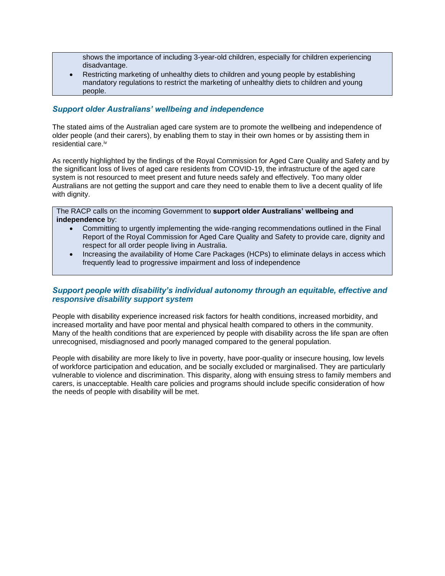shows the importance of including 3-year-old children, especially for children experiencing disadvantage.

• Restricting marketing of unhealthy diets to children and young people by establishing mandatory regulations to restrict the marketing of unhealthy diets to children and young people.

### *Support older Australians' wellbeing and independence*

The stated aims of the Australian aged care system are to promote the wellbeing and independence of older people (and their carers), by enabling them to stay in their own homes or by assisting them in residential care.<sup>iv</sup>

As recently highlighted by the findings of the Royal Commission for Aged Care Quality and Safety and by the significant loss of lives of aged care residents from COVID-19, the infrastructure of the aged care system is not resourced to meet present and future needs safely and effectively. Too many older Australians are not getting the support and care they need to enable them to live a decent quality of life with dignity.

#### The RACP calls on the incoming Government to **support older Australians' wellbeing and independence** by:

- Committing to urgently implementing the wide-ranging recommendations outlined in the Final Report of the Royal Commission for Aged Care Quality and Safety to provide care, dignity and respect for all order people living in Australia.
- Increasing the availability of Home Care Packages (HCPs) to eliminate delays in access which frequently lead to progressive impairment and loss of independence

## *Support people with disability's individual autonomy through an equitable, effective and responsive disability support system*

People with disability experience increased risk factors for health conditions, increased morbidity, and increased mortality and have poor mental and physical health compared to others in the community. Many of the health conditions that are experienced by people with disability across the life span are often unrecognised, misdiagnosed and poorly managed compared to the general population.

People with disability are more likely to live in poverty, have poor-quality or insecure housing, low levels of workforce participation and education, and be socially excluded or marginalised. They are particularly vulnerable to violence and discrimination. This disparity, along with ensuing stress to family members and carers, is unacceptable. Health care policies and programs should include specific consideration of how the needs of people with disability will be met.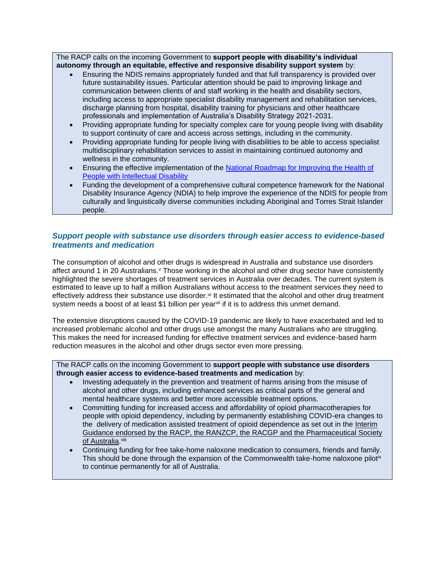The RACP calls on the incoming Government to **support people with disability's individual autonomy through an equitable, effective and responsive disability support system** by:

- Ensuring the NDIS remains appropriately funded and that full transparency is provided over future sustainability issues. Particular attention should be paid to improving linkage and communication between clients of and staff working in the health and disability sectors, including access to appropriate specialist disability management and rehabilitation services, discharge planning from hospital, disability training for physicians and other healthcare professionals and implementation of Australia's Disability Strategy 2021-2031.
- Providing appropriate funding for specialty complex care for young people living with disability to support continuity of care and access across settings, including in the community.
- Providing appropriate funding for people living with disabilities to be able to access specialist multidisciplinary rehabilitation services to assist in maintaining continued autonomy and wellness in the community.
- Ensuring the effective implementation of the [National Roadmap for Improving the Health of](https://www.health.gov.au/sites/default/files/documents/2021/08/national-roadmap-for-improving-the-health-of-people-with-intellectual-disability.pdf)  [People with Intellectual Disability](https://www.health.gov.au/sites/default/files/documents/2021/08/national-roadmap-for-improving-the-health-of-people-with-intellectual-disability.pdf)
- Funding the development of a comprehensive cultural competence framework for the National Disability Insurance Agency (NDIA) to help improve the experience of the NDIS for people from culturally and linguistically diverse communities including Aboriginal and Torres Strait Islander people.

### *Support people with substance use disorders through easier access to evidence-based treatments and medication*

The consumption of alcohol and other drugs is widespread in Australia and substance use disorders affect around 1 in 20 Australians. *V* Those working in the alcohol and other drug sector have consistently highlighted the severe shortages of treatment services in Australia over decades. The current system is estimated to leave up to half a million Australians without access to the treatment services they need to effectively address their substance use disorder.<sup>vi</sup> It estimated that the alcohol and other drug treatment system needs a boost of at least \$1 billion per yearvii if it is to address this unmet demand.

The extensive disruptions caused by the COVID-19 pandemic are likely to have exacerbated and led to increased problematic alcohol and other drugs use amongst the many Australians who are struggling. This makes the need for increased funding for effective treatment services and evidence-based harm reduction measures in the alcohol and other drugs sector even more pressing.

The RACP calls on the incoming Government to **support people with substance use disorders through easier access to evidence-based treatments and medication** by:

- Investing adequately in the prevention and treatment of harms arising from the misuse of alcohol and other drugs, including enhanced services as critical parts of the general and mental healthcare systems and better more accessible treatment options.
- Committing funding for increased access and affordability of opioid pharmacotherapies for people with opioid dependency, including by permanently establishing COVID-era changes to the delivery of medication assisted treatment of opioid dependence as set out in the [Interim](https://www.racp.edu.au/docs/default-source/news-and-events/covid-19/interim-guidance-delivery-of-medication-assisted-treatment-of-opiod-dependence-covid-19.pdf?sfvrsn=e36eeb1a_4)  [Guidance endorsed by the RACP, the RANZCP, the RACGP and the Pharmaceutical Society](https://www.racp.edu.au/docs/default-source/news-and-events/covid-19/interim-guidance-delivery-of-medication-assisted-treatment-of-opiod-dependence-covid-19.pdf?sfvrsn=e36eeb1a_4)  [of Australia.](https://www.racp.edu.au/docs/default-source/news-and-events/covid-19/interim-guidance-delivery-of-medication-assisted-treatment-of-opiod-dependence-covid-19.pdf?sfvrsn=e36eeb1a_4)<sup>viii</sup>
- Continuing funding for free take-home naloxone medication to consumers, friends and family. This should be done through the expansion of the Commonwealth take-home naloxone pilot<sup>ix</sup> to continue permanently for all of Australia.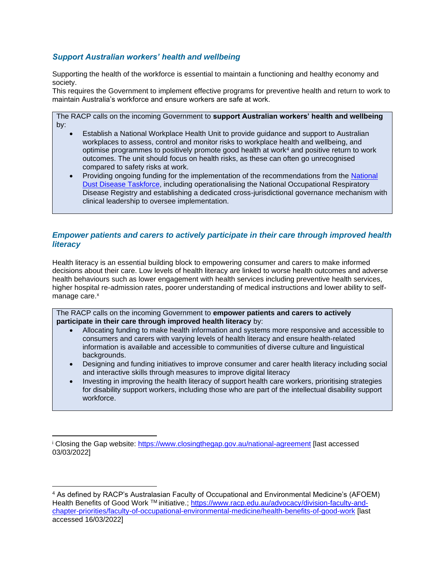# *Support Australian workers' health and wellbeing*

Supporting the health of the workforce is essential to maintain a functioning and healthy economy and society.

This requires the Government to implement effective programs for preventive health and return to work to maintain Australia's workforce and ensure workers are safe at work.

The RACP calls on the incoming Government to **support Australian workers' health and wellbeing** by:

- Establish a National Workplace Health Unit to provide guidance and support to Australian workplaces to assess, control and monitor risks to workplace health and wellbeing, and optimise programmes to positively promote good health at work<sup>4</sup> and positive return to work outcomes. The unit should focus on health risks, as these can often go unrecognised compared to safety risks at work.
- Providing ongoing funding for the implementation of the recommendations from the [National](https://www1.health.gov.au/internet/main/publishing.nsf/Content/ohp-nat-dust-disease-taskforce.htm)  [Dust Disease Taskforce,](https://www1.health.gov.au/internet/main/publishing.nsf/Content/ohp-nat-dust-disease-taskforce.htm) including operationalising the National Occupational Respiratory Disease Registry and establishing a dedicated cross-jurisdictional governance mechanism with clinical leadership to oversee implementation.

## *Empower patients and carers to actively participate in their care through improved health literacy*

Health literacy is an essential building block to empowering consumer and carers to make informed decisions about their care. Low levels of health literacy are linked to worse health outcomes and adverse health behaviours such as lower engagement with health services including preventive health services, higher hospital re-admission rates, poorer understanding of medical instructions and lower ability to selfmanage care.<sup>x</sup>

The RACP calls on the incoming Government to **empower patients and carers to actively participate in their care through improved health literacy** by:

- Allocating funding to make health information and systems more responsive and accessible to consumers and carers with varying levels of health literacy and ensure health-related information is available and accessible to communities of diverse culture and linguistical backgrounds.
- Designing and funding initiatives to improve consumer and carer health literacy including social and interactive skills through measures to improve digital literacy
- Investing in improving the health literacy of support health care workers, prioritising strategies for disability support workers, including those who are part of the intellectual disability support workforce.

<sup>&</sup>lt;sup>i</sup> Closing the Gap website:<https://www.closingthegap.gov.au/national-agreement> [last accessed 03/03/2022]

<sup>4</sup> As defined by RACP's Australasian Faculty of Occupational and Environmental Medicine's (AFOEM) Health Benefits of Good Work ™ initiative.; [https://www.racp.edu.au/advocacy/division-faculty-and](https://www.racp.edu.au/advocacy/division-faculty-and-chapter-priorities/faculty-of-occupational-environmental-medicine/health-benefits-of-good-work)[chapter-priorities/faculty-of-occupational-environmental-medicine/health-benefits-of-good-work](https://www.racp.edu.au/advocacy/division-faculty-and-chapter-priorities/faculty-of-occupational-environmental-medicine/health-benefits-of-good-work) [last accessed 16/03/2022]